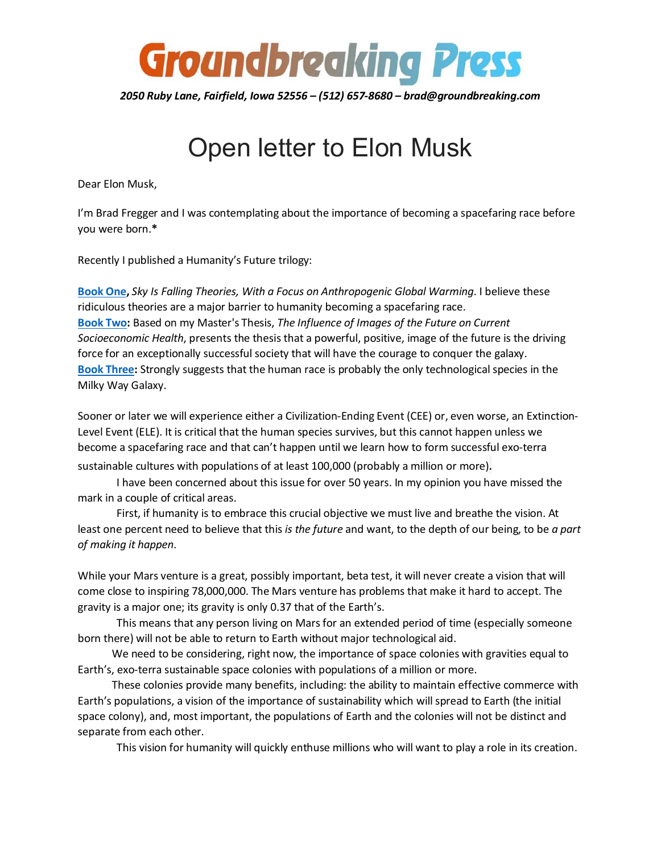

*2050 Ruby Lane, Fairfield, Iowa 52556 – (512) 657-8680 – brad@groundbreaking.com*

## Open letter to Elon Musk

Dear Elon Musk,

I'm Brad Fregger and I was contemplating about the importance of becoming a spacefaring race before you were born.**[\\*](#page-1-0)**

Recently I published a Humanity's Future trilogy:

**Book One,** *Sky Is Falling Theories, With a Focus on Anthropogenic Global Warming*. I believe these ridiculous theories are a major barrier to humanity becoming a spacefaring race. **Book Two:** Based on my Master's Thesis, *The Influence of Images of the Future on Current Socioeconomic Health*, presents the thesis that a powerful, positive, image of the future is the driving force for an exceptionally successful society that will have the courage to conquer the galaxy. **Book Three:** Strongly suggests that the human race is probably the only technological species in the Milky Way Galaxy.

Sooner or later we will experience either a Civilization-Ending Event (CEE) or, even worse, an Extinction-Level Event (ELE). It is critical that the human species survives, but this cannot happen unless we become a spacefaring race and that can't happen until we learn how to form successful exo-terra sustainable cultures with populations of at least 100,000 (probably a million or more).

I have been concerned about this issue for over 50 years. In my opinion you have missed the mark in a couple of critical areas.

First, if humanity is to embrace this crucial objective we must live and breathe the vision. At least one percent need to believe that this *is the future* and want, to the depth of our being, to be *a part of making it happen*.

While your Mars venture is a great, possibly important, beta test, it will never create a vision that will come close to inspiring 78,000,000. The Mars venture has problems that make it hard to accept. The gravity is a major one; its gravity is only 0.37 that of the Earth's.

This means that any person living on Mars for an extended period of time (especially someone born there) will not be able to return to Earth without major technological aid.

We need to be considering, right now, the importance of space colonies with gravities equal to Earth's, exo-terra sustainable space colonies with populations of a million or more.

These colonies provide many benefits, including: the ability to maintain effective commerce with Earth's populations, a vision of the importance of sustainability which will spread to Earth (the initial space colony), and, most important, the populations of Earth and the colonies will not be distinct and separate from each other.

This vision for humanity will quickly enthuse millions who will want to play a role in its creation.